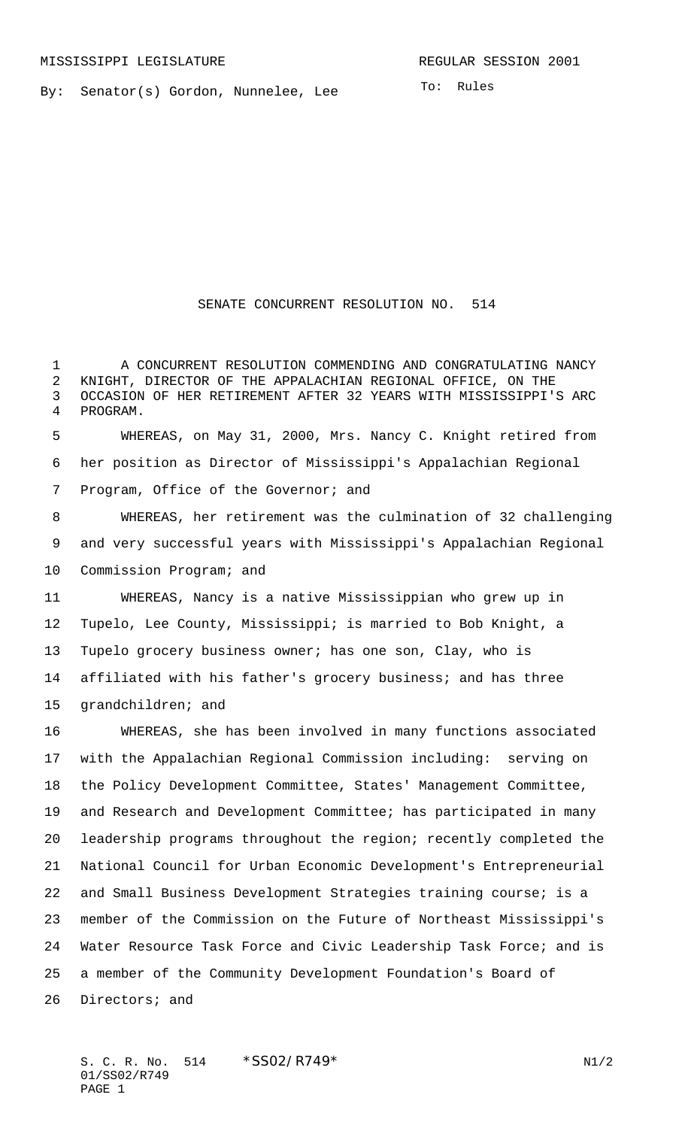By: Senator(s) Gordon, Nunnelee, Lee

SENATE CONCURRENT RESOLUTION NO. 514

1 A CONCURRENT RESOLUTION COMMENDING AND CONGRATULATING NANCY KNIGHT, DIRECTOR OF THE APPALACHIAN REGIONAL OFFICE, ON THE OCCASION OF HER RETIREMENT AFTER 32 YEARS WITH MISSISSIPPI'S ARC PROGRAM.

 WHEREAS, on May 31, 2000, Mrs. Nancy C. Knight retired from her position as Director of Mississippi's Appalachian Regional Program, Office of the Governor; and

 WHEREAS, her retirement was the culmination of 32 challenging and very successful years with Mississippi's Appalachian Regional Commission Program; and

 WHEREAS, Nancy is a native Mississippian who grew up in Tupelo, Lee County, Mississippi; is married to Bob Knight, a Tupelo grocery business owner; has one son, Clay, who is affiliated with his father's grocery business; and has three grandchildren; and

 WHEREAS, she has been involved in many functions associated with the Appalachian Regional Commission including: serving on the Policy Development Committee, States' Management Committee, and Research and Development Committee; has participated in many leadership programs throughout the region; recently completed the National Council for Urban Economic Development's Entrepreneurial and Small Business Development Strategies training course; is a member of the Commission on the Future of Northeast Mississippi's Water Resource Task Force and Civic Leadership Task Force; and is a member of the Community Development Foundation's Board of Directors; and

S. C. R. No. \*SS02/R749\* N1/2 01/SS02/R749 PAGE 1